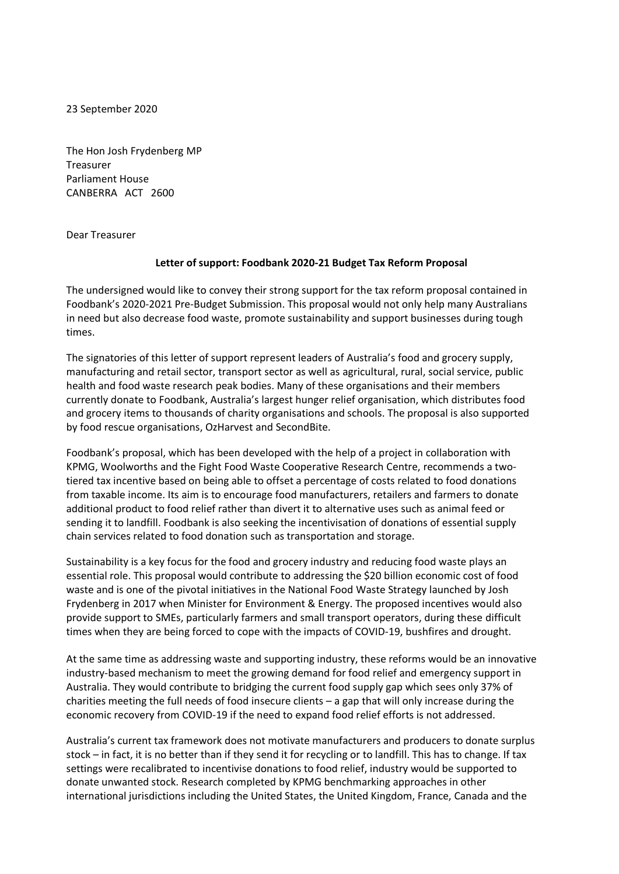23 September 2020

The Hon Josh Frydenberg MP Treasurer Parliament House CANBERRA ACT 2600

Dear Treasurer

## **Letter of support: Foodbank 2020-21 Budget Tax Reform Proposal**

The undersigned would like to convey their strong support for the tax reform proposal contained in Foodbank's 2020-2021 Pre-Budget Submission. This proposal would not only help many Australians in need but also decrease food waste, promote sustainability and support businesses during tough times.

The signatories of this letter of support represent leaders of Australia's food and grocery supply, manufacturing and retail sector, transport sector as well as agricultural, rural, social service, public health and food waste research peak bodies. Many of these organisations and their members currently donate to Foodbank, Australia's largest hunger relief organisation, which distributes food and grocery items to thousands of charity organisations and schools. The proposal is also supported by food rescue organisations, OzHarvest and SecondBite.

Foodbank's proposal, which has been developed with the help of a project in collaboration with KPMG, Woolworths and the Fight Food Waste Cooperative Research Centre, recommends a twotiered tax incentive based on being able to offset a percentage of costs related to food donations from taxable income. Its aim is to encourage food manufacturers, retailers and farmers to donate additional product to food relief rather than divert it to alternative uses such as animal feed or sending it to landfill. Foodbank is also seeking the incentivisation of donations of essential supply chain services related to food donation such as transportation and storage.

Sustainability is a key focus for the food and grocery industry and reducing food waste plays an essential role. This proposal would contribute to addressing the \$20 billion economic cost of food waste and is one of the pivotal initiatives in the National Food Waste Strategy launched by Josh Frydenberg in 2017 when Minister for Environment & Energy. The proposed incentives would also provide support to SMEs, particularly farmers and small transport operators, during these difficult times when they are being forced to cope with the impacts of COVID-19, bushfires and drought.

At the same time as addressing waste and supporting industry, these reforms would be an innovative industry-based mechanism to meet the growing demand for food relief and emergency support in Australia. They would contribute to bridging the current food supply gap which sees only 37% of charities meeting the full needs of food insecure clients – a gap that will only increase during the economic recovery from COVID-19 if the need to expand food relief efforts is not addressed.

Australia's current tax framework does not motivate manufacturers and producers to donate surplus stock – in fact, it is no better than if they send it for recycling or to landfill. This has to change. If tax settings were recalibrated to incentivise donations to food relief, industry would be supported to donate unwanted stock. Research completed by KPMG benchmarking approaches in other international jurisdictions including the United States, the United Kingdom, France, Canada and the